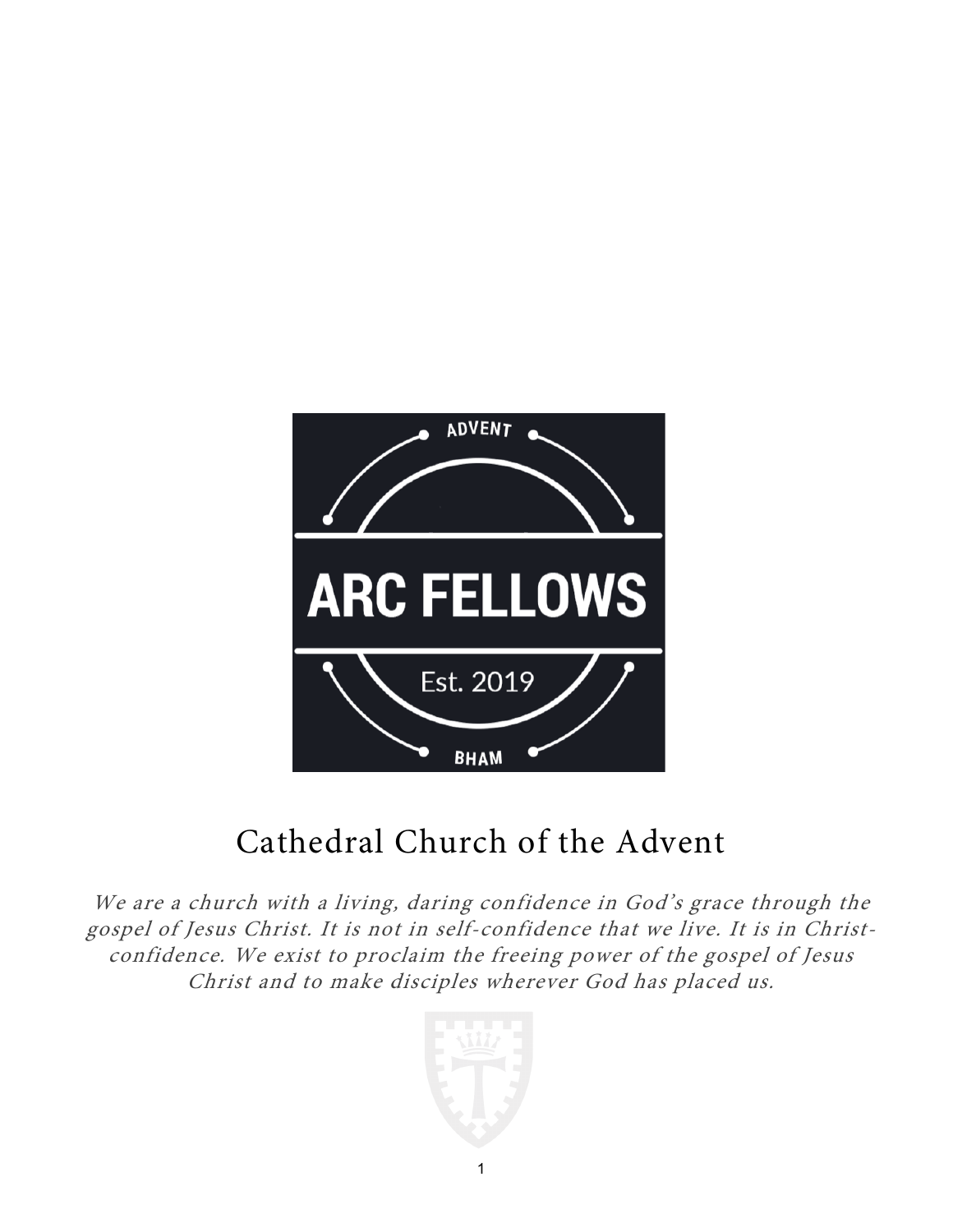

# Cathedral Church of the Advent

We are a church with a living, daring confidence in God's grace through the gospel of Jesus Christ. It is not in self-confidence that we live. It is in Christconfidence. We exist to proclaim the freeing power of the gospel of Jesus Christ and to make disciples wherever God has placed us.

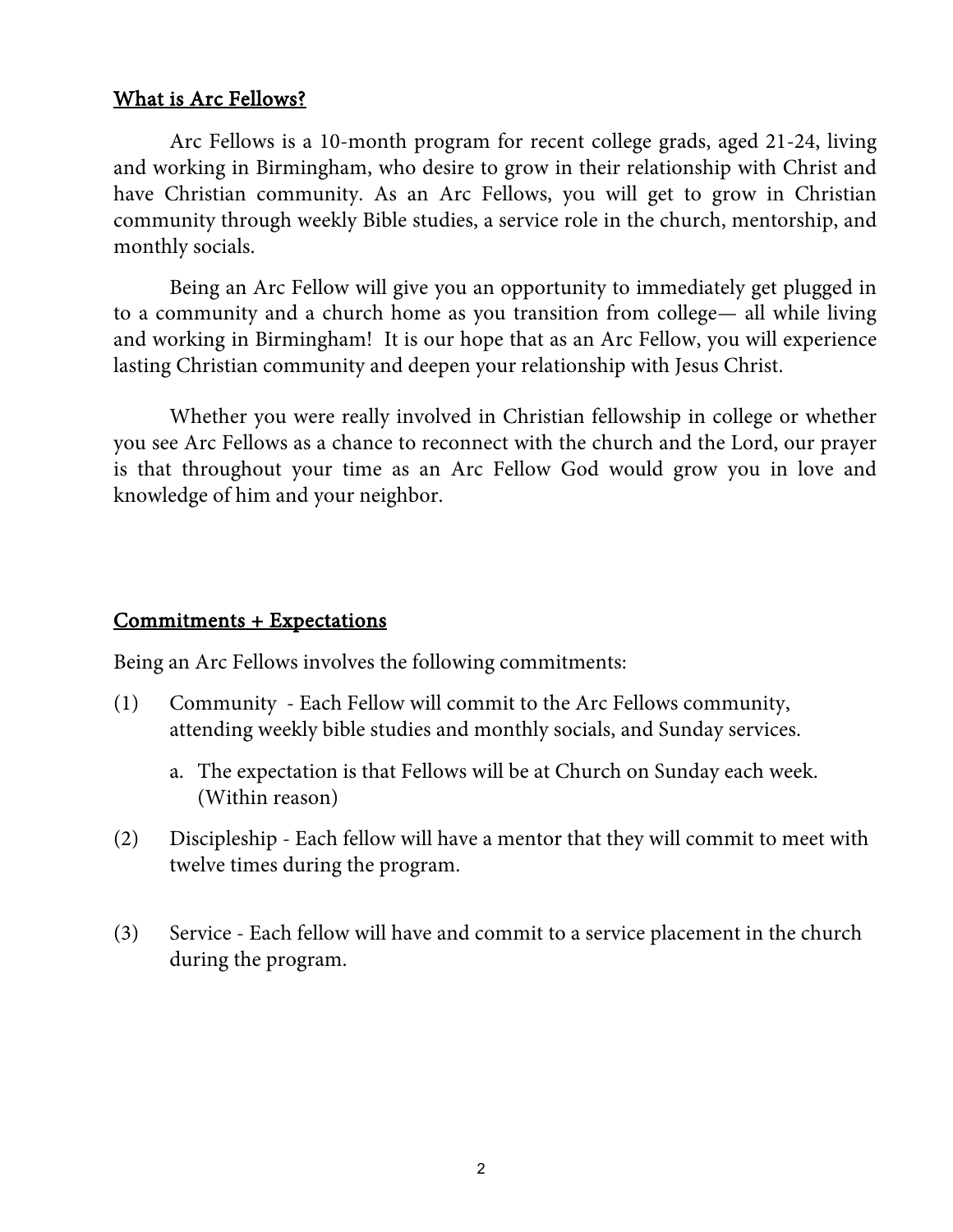#### What is Arc Fellows?

Arc Fellows is a 10-month program for recent college grads, aged 21-24, living and working in Birmingham, who desire to grow in their relationship with Christ and have Christian community. As an Arc Fellows, you will get to grow in Christian community through weekly Bible studies, a service role in the church, mentorship, and monthly socials.

Being an Arc Fellow will give you an opportunity to immediately get plugged in to a community and a church home as you transition from college— all while living and working in Birmingham! It is our hope that as an Arc Fellow, you will experience lasting Christian community and deepen your relationship with Jesus Christ.

Whether you were really involved in Christian fellowship in college or whether you see Arc Fellows as a chance to reconnect with the church and the Lord, our prayer is that throughout your time as an Arc Fellow God would grow you in love and knowledge of him and your neighbor.

### Commitments + Expectations

Being an Arc Fellows involves the following commitments:

- (1) Community Each Fellow will commit to the Arc Fellows community, attending weekly bible studies and monthly socials, and Sunday services.
	- a. The expectation is that Fellows will be at Church on Sunday each week. (Within reason)
- (2) Discipleship Each fellow will have a mentor that they will commit to meet with twelve times during the program.
- (3) Service Each fellow will have and commit to a service placement in the church during the program.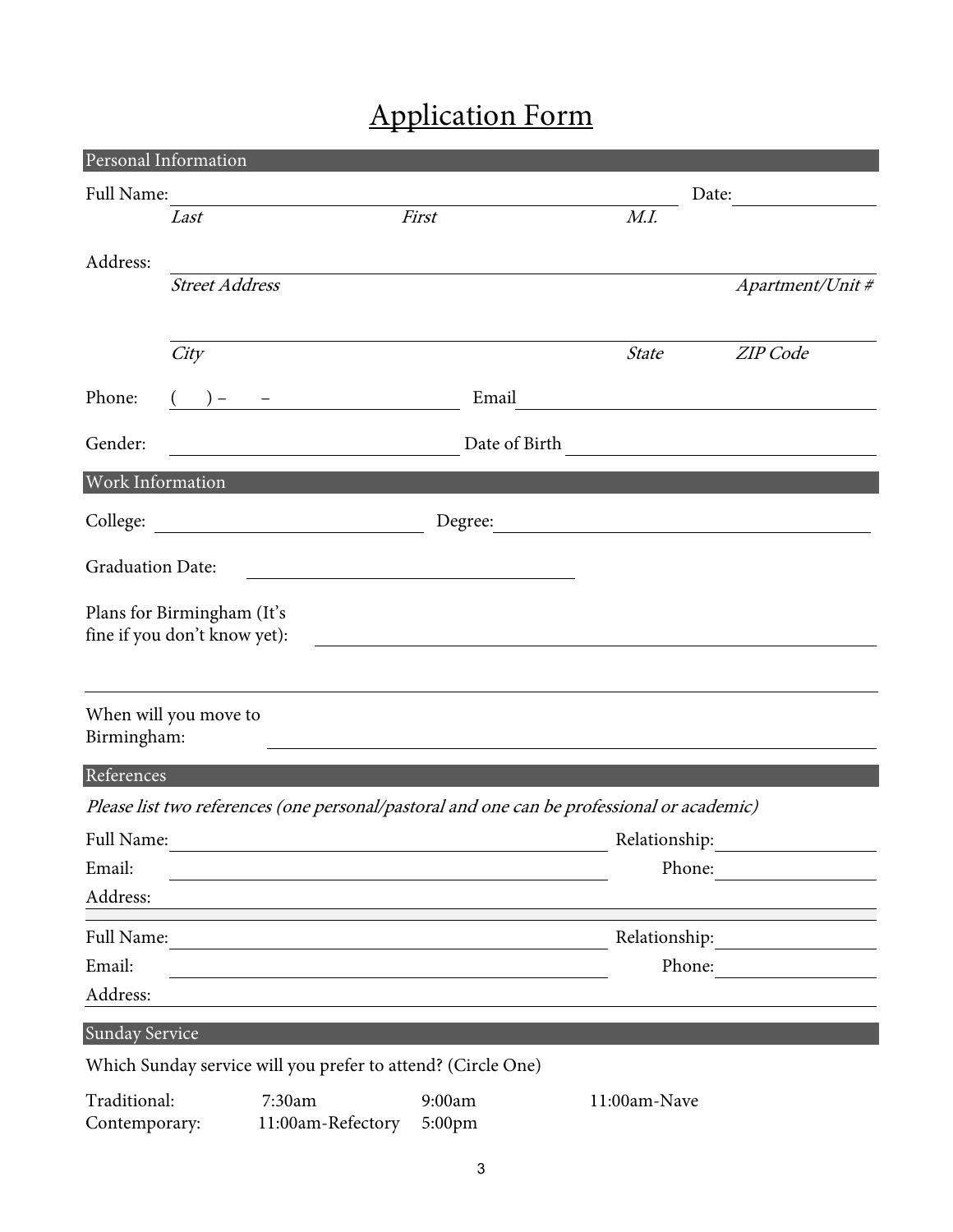## Application Form

|                         | Personal Information         |                                                                                            |               |                                               |                                                  |
|-------------------------|------------------------------|--------------------------------------------------------------------------------------------|---------------|-----------------------------------------------|--------------------------------------------------|
| Full Name:              |                              |                                                                                            |               |                                               | Date:                                            |
|                         | Last                         |                                                                                            | First         | M.I.                                          |                                                  |
| Address:                |                              |                                                                                            |               |                                               |                                                  |
|                         | <b>Street Address</b>        |                                                                                            |               |                                               | Apartment/Unit #                                 |
|                         |                              |                                                                                            |               |                                               |                                                  |
|                         | City                         |                                                                                            |               | <b>State</b>                                  | ZIP Code                                         |
| Phone:                  |                              |                                                                                            | Email         | <u> 1989 - Andrea Amerikaanse politiker (</u> |                                                  |
| Gender:                 |                              |                                                                                            | Date of Birth |                                               | <u> 1989 - Jan Stein, amerikansk politiker (</u> |
| Work Information        |                              |                                                                                            |               |                                               |                                                  |
|                         |                              |                                                                                            | Degree:       |                                               |                                                  |
| <b>Graduation Date:</b> |                              |                                                                                            |               |                                               |                                                  |
|                         |                              | <u> 1980 - Johann Barbara, martxa alemaniar a</u>                                          |               |                                               |                                                  |
|                         | Plans for Birmingham (It's   |                                                                                            |               |                                               |                                                  |
|                         | fine if you don't know yet): |                                                                                            |               |                                               |                                                  |
|                         |                              |                                                                                            |               |                                               |                                                  |
|                         | When will you move to        |                                                                                            |               |                                               |                                                  |
| Birmingham:             |                              |                                                                                            |               |                                               |                                                  |
| References              |                              |                                                                                            |               |                                               |                                                  |
|                         |                              | Please list two references (one personal/pastoral and one can be professional or academic) |               |                                               |                                                  |
| Full Name:              |                              |                                                                                            |               | Relationship:                                 |                                                  |
| Email:                  |                              |                                                                                            |               | Phone:                                        |                                                  |
| Address:                |                              |                                                                                            |               |                                               |                                                  |
| Full Name:              |                              |                                                                                            |               | Relationship:                                 |                                                  |
| Email:                  |                              |                                                                                            |               | Phone:                                        |                                                  |
| Address:                |                              |                                                                                            |               |                                               |                                                  |
| <b>Sunday Service</b>   |                              |                                                                                            |               |                                               |                                                  |
|                         |                              | Which Sunday service will you prefer to attend? (Circle One)                               |               |                                               |                                                  |
| Traditional:            |                              | 7:30am                                                                                     | 9:00am        | 11:00am-Nave                                  |                                                  |
| Contemporary:           |                              | 11:00am-Refectory                                                                          | 5:00pm        |                                               |                                                  |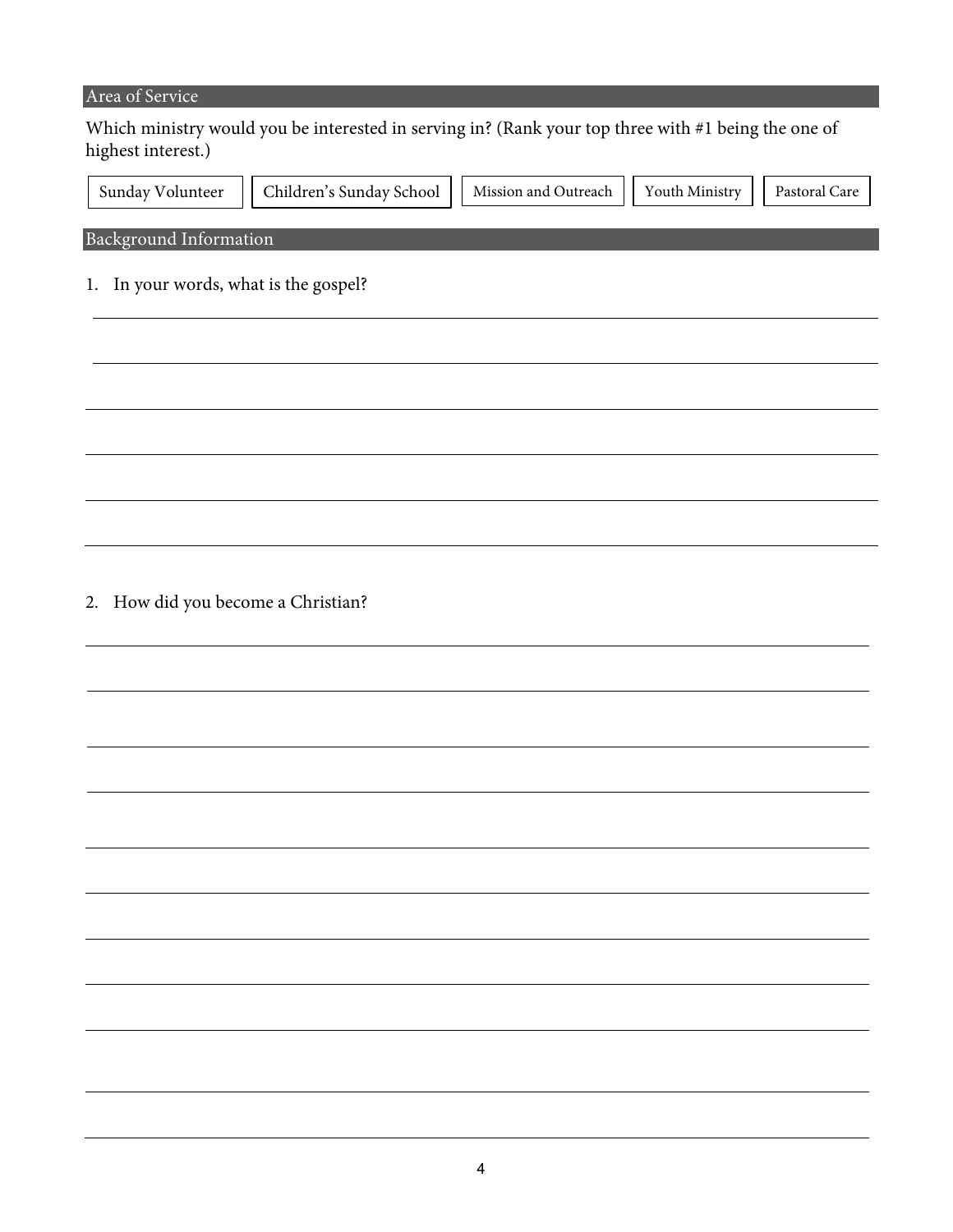#### Area of Service

Which ministry would you be interested in serving in? (Rank your top three with #1 being the one of highest interest.)

| Sunday Volunteer              | Children's Sunday School | Mission and Outreach    Youth Ministry    Pastoral Care |  |
|-------------------------------|--------------------------|---------------------------------------------------------|--|
|                               |                          |                                                         |  |
| <b>Background Information</b> |                          |                                                         |  |

1. In your words, what is the gospel?

2. How did you become a Christian?